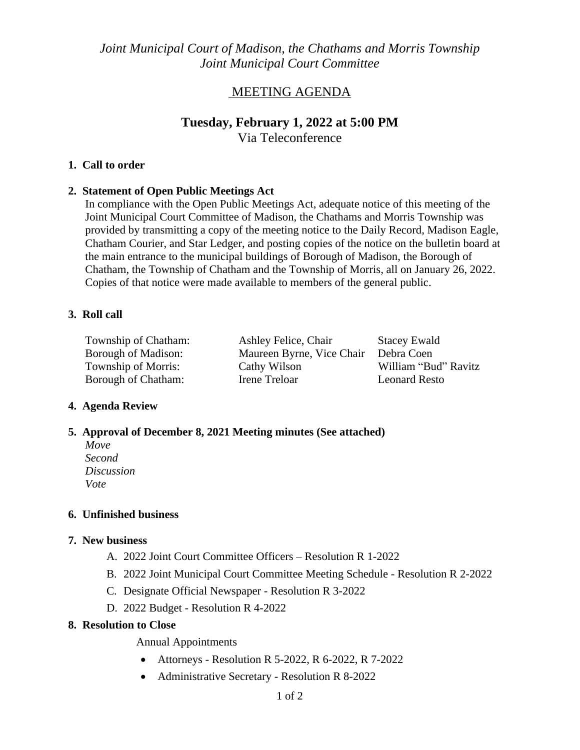*Joint Municipal Court of Madison, the Chathams and Morris Township Joint Municipal Court Committee*

## MEETING AGENDA

# **Tuesday, February 1, 2022 at 5:00 PM**

Via Teleconference

### **1. Call to order**

#### **2. Statement of Open Public Meetings Act**

In compliance with the Open Public Meetings Act, adequate notice of this meeting of the Joint Municipal Court Committee of Madison, the Chathams and Morris Township was provided by transmitting a copy of the meeting notice to the Daily Record, Madison Eagle, Chatham Courier, and Star Ledger, and posting copies of the notice on the bulletin board at the main entrance to the municipal buildings of Borough of Madison, the Borough of Chatham, the Township of Chatham and the Township of Morris, all on January 26, 2022. Copies of that notice were made available to members of the general public.

#### **3. Roll call**

Borough of Chatham: Irene Treloar

Township of Chatham: Ashley Felice, Chair Stacey Ewald Borough of Madison: Maureen Byrne, Vice Chair Debra Coen Township of Morris: Cathy Wilson William "Bud" Ravitz<br>
Borough of Chatham: Irene Treloar Leonard Resto

### **4. Agenda Review**

### **5. Approval of December 8, 2021 Meeting minutes (See attached)**

*Move Second Discussion Vote*

### **6. Unfinished business**

### **7. New business**

- A. 2022 Joint Court Committee Officers Resolution R 1-2022
- B. 2022 Joint Municipal Court Committee Meeting Schedule Resolution R 2-2022
- C. Designate Official Newspaper Resolution R 3-2022
- D. 2022 Budget Resolution R 4-2022

### **8. Resolution to Close**

Annual Appointments

- Attorneys Resolution R 5-2022, R 6-2022, R 7-2022
- Administrative Secretary Resolution R 8-2022